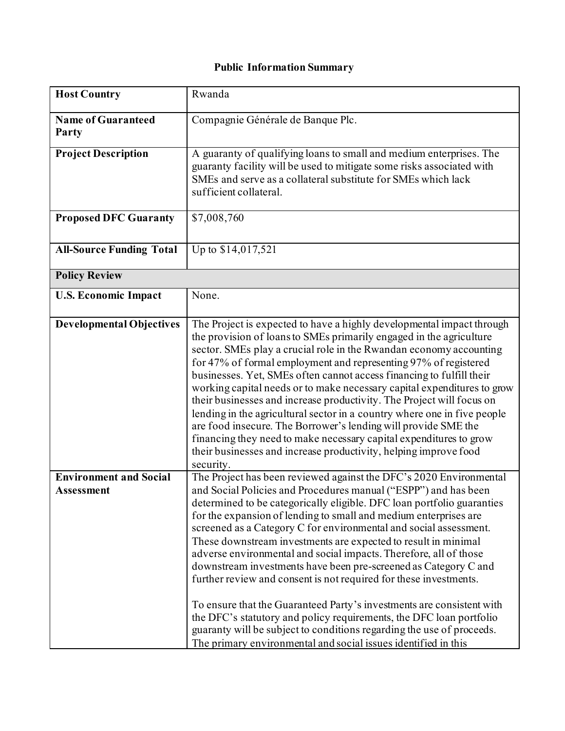## **Public Information Summary**

| <b>Host Country</b>                                | Rwanda                                                                                                                                                                                                                                                                                                                                                                                                                                                                                                                                                                                                                                                                                                                                                                                                                                                                                                                             |  |
|----------------------------------------------------|------------------------------------------------------------------------------------------------------------------------------------------------------------------------------------------------------------------------------------------------------------------------------------------------------------------------------------------------------------------------------------------------------------------------------------------------------------------------------------------------------------------------------------------------------------------------------------------------------------------------------------------------------------------------------------------------------------------------------------------------------------------------------------------------------------------------------------------------------------------------------------------------------------------------------------|--|
| <b>Name of Guaranteed</b><br>Party                 | Compagnie Générale de Banque Plc.                                                                                                                                                                                                                                                                                                                                                                                                                                                                                                                                                                                                                                                                                                                                                                                                                                                                                                  |  |
| <b>Project Description</b>                         | A guaranty of qualifying loans to small and medium enterprises. The<br>guaranty facility will be used to mitigate some risks associated with<br>SMEs and serve as a collateral substitute for SMEs which lack<br>sufficient collateral.                                                                                                                                                                                                                                                                                                                                                                                                                                                                                                                                                                                                                                                                                            |  |
| <b>Proposed DFC Guaranty</b>                       | \$7,008,760                                                                                                                                                                                                                                                                                                                                                                                                                                                                                                                                                                                                                                                                                                                                                                                                                                                                                                                        |  |
| <b>All-Source Funding Total</b>                    | Up to \$14,017,521                                                                                                                                                                                                                                                                                                                                                                                                                                                                                                                                                                                                                                                                                                                                                                                                                                                                                                                 |  |
| <b>Policy Review</b>                               |                                                                                                                                                                                                                                                                                                                                                                                                                                                                                                                                                                                                                                                                                                                                                                                                                                                                                                                                    |  |
| <b>U.S. Economic Impact</b>                        | None.                                                                                                                                                                                                                                                                                                                                                                                                                                                                                                                                                                                                                                                                                                                                                                                                                                                                                                                              |  |
| <b>Developmental Objectives</b>                    | The Project is expected to have a highly developmental impact through<br>the provision of loans to SMEs primarily engaged in the agriculture<br>sector. SMEs play a crucial role in the Rwandan economy accounting<br>for 47% of formal employment and representing 97% of registered<br>businesses. Yet, SMEs often cannot access financing to fulfill their<br>working capital needs or to make necessary capital expenditures to grow<br>their businesses and increase productivity. The Project will focus on<br>lending in the agricultural sector in a country where one in five people<br>are food insecure. The Borrower's lending will provide SME the<br>financing they need to make necessary capital expenditures to grow<br>their businesses and increase productivity, helping improve food<br>security.                                                                                                             |  |
| <b>Environment and Social</b><br><b>Assessment</b> | The Project has been reviewed against the DFC's 2020 Environmental<br>and Social Policies and Procedures manual ("ESPP") and has been<br>determined to be categorically eligible. DFC loan portfolio guaranties<br>for the expansion of lending to small and medium enterprises are<br>screened as a Category C for environmental and social assessment.<br>These downstream investments are expected to result in minimal<br>adverse environmental and social impacts. Therefore, all of those<br>downstream investments have been pre-screened as Category C and<br>further review and consent is not required for these investments.<br>To ensure that the Guaranteed Party's investments are consistent with<br>the DFC's statutory and policy requirements, the DFC loan portfolio<br>guaranty will be subject to conditions regarding the use of proceeds.<br>The primary environmental and social issues identified in this |  |